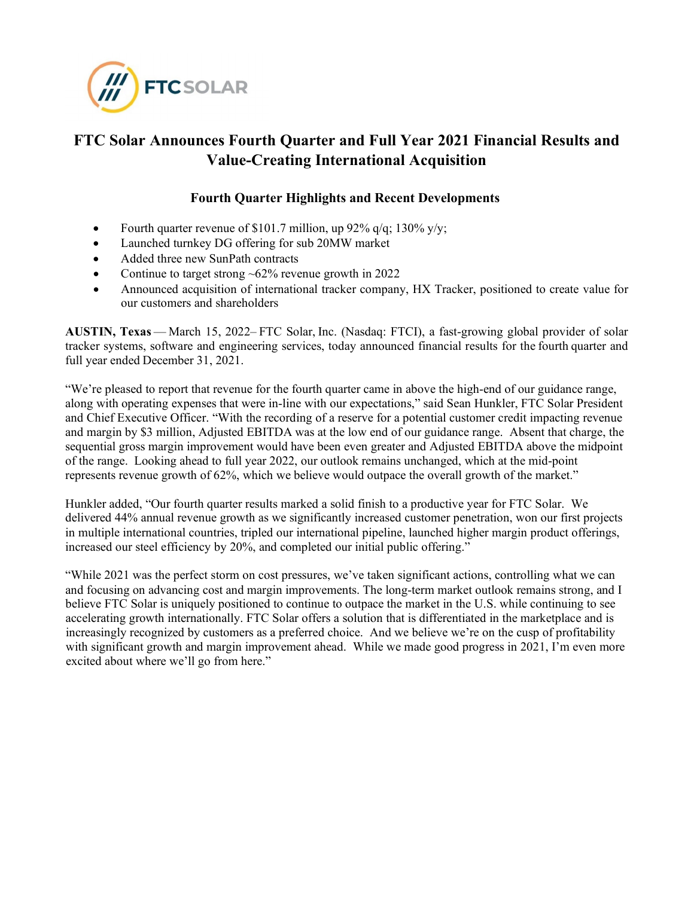

# **FTC Solar Announces Fourth Quarter and Full Year 2021 Financial Results and Value-Creating International Acquisition**

# **Fourth Quarter Highlights and Recent Developments**

- Fourth quarter revenue of \$101.7 million, up 92% q/q; 130% y/y;
- Launched turnkey DG offering for sub 20MW market
- Added three new SunPath contracts
- Continue to target strong  $~62\%$  revenue growth in 2022
- Announced acquisition of international tracker company, HX Tracker, positioned to create value for our customers and shareholders

**AUSTIN, Texas** — March 15, 2022– FTC Solar, Inc. (Nasdaq: FTCI), a fast-growing global provider of solar tracker systems, software and engineering services, today announced financial results for the fourth quarter and full year ended December 31, 2021.  

"We're pleased to report that revenue for the fourth quarter came in above the high-end of our guidance range, along with operating expenses that were in-line with our expectations," said Sean Hunkler, FTC Solar President and Chief Executive Officer. "With the recording of a reserve for a potential customer credit impacting revenue and margin by \$3 million, Adjusted EBITDA was at the low end of our guidance range. Absent that charge, the sequential gross margin improvement would have been even greater and Adjusted EBITDA above the midpoint of the range. Looking ahead to full year 2022, our outlook remains unchanged, which at the mid-point represents revenue growth of 62%, which we believe would outpace the overall growth of the market."

Hunkler added, "Our fourth quarter results marked a solid finish to a productive year for FTC Solar. We delivered 44% annual revenue growth as we significantly increased customer penetration, won our first projects in multiple international countries, tripled our international pipeline, launched higher margin product offerings, increased our steel efficiency by 20%, and completed our initial public offering."

"While 2021 was the perfect storm on cost pressures, we've taken significant actions, controlling what we can and focusing on advancing cost and margin improvements. The long-term market outlook remains strong, and I believe FTC Solar is uniquely positioned to continue to outpace the market in the U.S. while continuing to see accelerating growth internationally. FTC Solar offers a solution that is differentiated in the marketplace and is increasingly recognized by customers as a preferred choice. And we believe we're on the cusp of profitability with significant growth and margin improvement ahead. While we made good progress in 2021, I'm even more excited about where we'll go from here."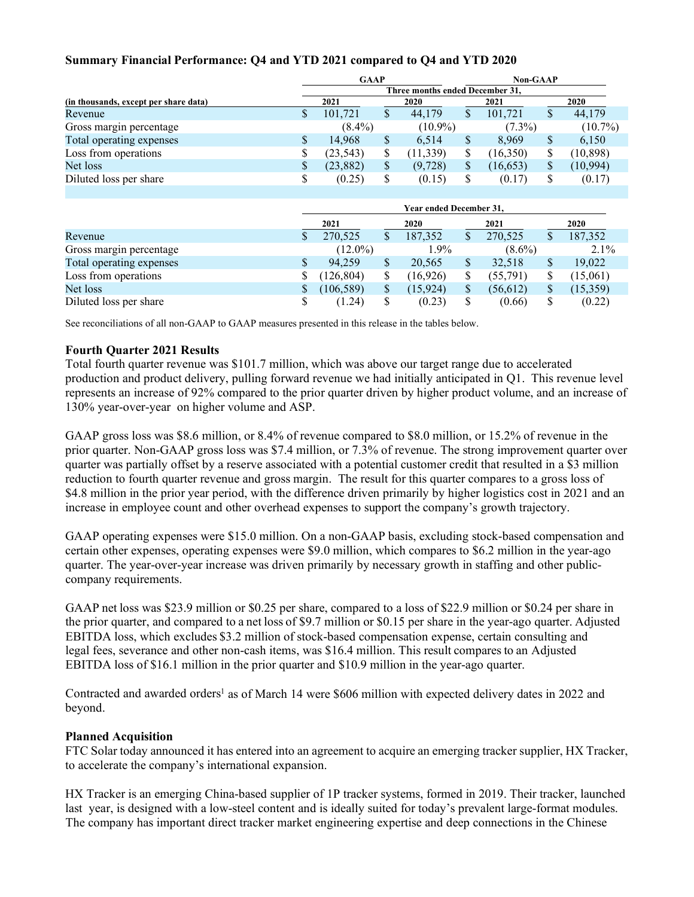# **Summary Financial Performance: Q4 and YTD 2021 compared to Q4 and YTD 2020**

|                                       | <b>GAAP</b>             |                                 |               |            |               | Non-GAAP  |               |            |  |  |
|---------------------------------------|-------------------------|---------------------------------|---------------|------------|---------------|-----------|---------------|------------|--|--|
|                                       |                         | Three months ended December 31, |               |            |               |           |               |            |  |  |
| (in thousands, except per share data) |                         | 2021                            |               | 2020       |               | 2021      |               | 2020       |  |  |
| Revenue                               | \$                      | 101,721                         | \$            | 44,179     | \$            | 101,721   | $\mathcal{S}$ | 44,179     |  |  |
| Gross margin percentage               |                         | $(8.4\%)$                       |               | $(10.9\%)$ |               | $(7.3\%)$ |               | $(10.7\%)$ |  |  |
| Total operating expenses              | \$                      | 14,968                          | \$            | 6,514      | \$            | 8,969     | \$            | 6,150      |  |  |
| Loss from operations                  | \$                      | (23, 543)                       | \$            | (11, 339)  | \$            | (16,350)  | \$            | (10, 898)  |  |  |
| Net loss                              | \$                      | (23, 882)                       | \$            | (9, 728)   | \$            | (16, 653) | \$            | (10, 994)  |  |  |
| Diluted loss per share                | \$                      | (0.25)                          | \$            | (0.15)     | \$            | (0.17)    | \$            | (0.17)     |  |  |
|                                       | Year ended December 31, |                                 |               |            |               |           |               |            |  |  |
|                                       |                         | 2021                            |               | 2020       | 2021          |           |               | 2020       |  |  |
| Revenue                               | \$                      | 270,525                         | $\mathcal{S}$ | 187,352    | $\mathcal{S}$ | 270,525   | $\mathcal{S}$ | 187,352    |  |  |
| Gross margin percentage               |                         | $(12.0\%)$                      |               | $1.9\%$    |               | $(8.6\%)$ |               | $2.1\%$    |  |  |
| Total operating expenses              | \$                      | 94,259                          | \$            | 20,565     | <sup>\$</sup> | 32,518    | \$            | 19,022     |  |  |
| Loss from operations                  | \$                      | (126, 804)                      | S             | (16,926)   | \$            | (55,791)  | \$            | (15,061)   |  |  |
| Net loss                              | \$                      | (106, 589)                      | \$            | (15, 924)  | \$            | (56, 612) | \$            | (15,359)   |  |  |
| Diluted loss per share                | \$                      | (1.24)                          | \$            | (0.23)     | \$            | (0.66)    | \$            | (0.22)     |  |  |

See reconciliations of all non-GAAP to GAAP measures presented in this release in the tables below.

# **Fourth Quarter 2021 Results**

Total fourth quarter revenue was \$101.7 million, which was above our target range due to accelerated production and product delivery, pulling forward revenue we had initially anticipated in Q1. This revenue level represents an increase of 92% compared to the prior quarter driven by higher product volume, and an increase of 130% year-over-year on higher volume and ASP.

GAAP gross loss was \$8.6 million, or 8.4% of revenue compared to \$8.0 million, or 15.2% of revenue in the prior quarter. Non-GAAP gross loss was \$7.4 million, or 7.3% of revenue. The strong improvement quarter over quarter was partially offset by a reserve associated with a potential customer credit that resulted in a \$3 million reduction to fourth quarter revenue and gross margin. The result for this quarter compares to a gross loss of \$4.8 million in the prior year period, with the difference driven primarily by higher logistics cost in 2021 and an increase in employee count and other overhead expenses to support the company's growth trajectory.

GAAP operating expenses were \$15.0 million. On a non-GAAP basis, excluding stock-based compensation and certain other expenses, operating expenses were \$9.0 million, which compares to \$6.2 million in the year-ago quarter. The year-over-year increase was driven primarily by necessary growth in staffing and other publiccompany requirements.

GAAP net loss was \$23.9 million or \$0.25 per share, compared to a loss of \$22.9 million or \$0.24 per share in the prior quarter, and compared to a net loss of \$9.7 million or \$0.15 per share in the year-ago quarter. Adjusted EBITDA loss, which excludes \$3.2 million of stock-based compensation expense, certain consulting and legal fees, severance and other non-cash items, was \$16.4 million. This result compares to an Adjusted EBITDA loss of \$16.1 million in the prior quarter and \$10.9 million in the year-ago quarter.  

Contracted and awarded orders<sup>1</sup> as of March 14 were \$606 million with expected delivery dates in 2022 and beyond.

# **Planned Acquisition**

FTC Solar today announced it has entered into an agreement to acquire an emerging tracker supplier, HX Tracker, to accelerate the company's international expansion.

HX Tracker is an emerging China-based supplier of 1P tracker systems, formed in 2019. Their tracker, launched last year, is designed with a low-steel content and is ideally suited for today's prevalent large-format modules. The company has important direct tracker market engineering expertise and deep connections in the Chinese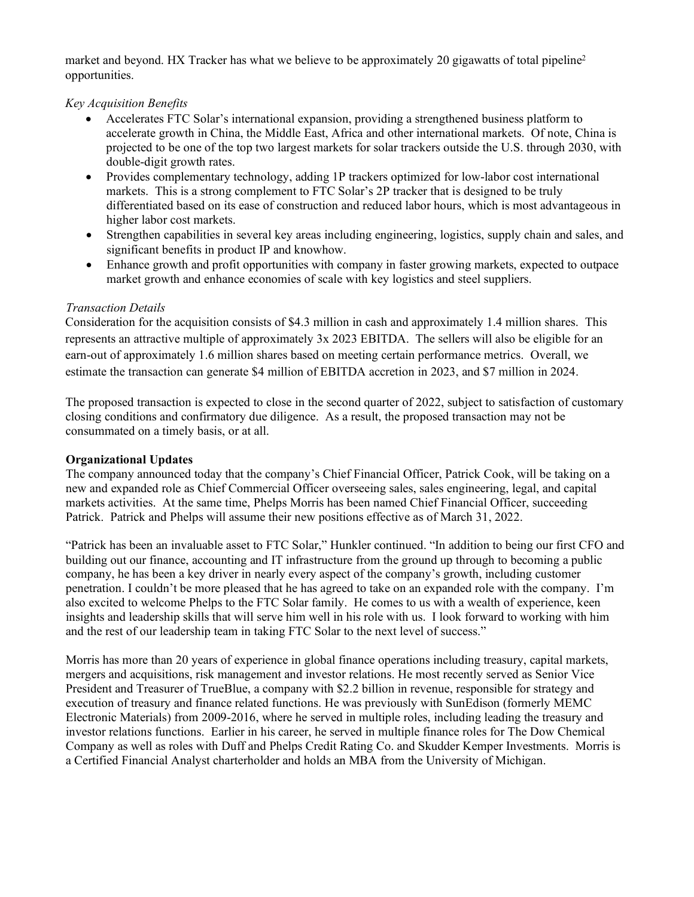market and beyond. HX Tracker has what we believe to be approximately 20 gigawatts of total pipeline<sup>2</sup> opportunities.

# *Key Acquisition Benefits*

- Accelerates FTC Solar's international expansion, providing a strengthened business platform to accelerate growth in China, the Middle East, Africa and other international markets. Of note, China is projected to be one of the top two largest markets for solar trackers outside the U.S. through 2030, with double-digit growth rates.
- Provides complementary technology, adding 1P trackers optimized for low-labor cost international markets. This is a strong complement to FTC Solar's 2P tracker that is designed to be truly differentiated based on its ease of construction and reduced labor hours, which is most advantageous in higher labor cost markets.
- Strengthen capabilities in several key areas including engineering, logistics, supply chain and sales, and significant benefits in product IP and knowhow.
- Enhance growth and profit opportunities with company in faster growing markets, expected to outpace market growth and enhance economies of scale with key logistics and steel suppliers.

# *Transaction Details*

Consideration for the acquisition consists of \$4.3 million in cash and approximately 1.4 million shares. This represents an attractive multiple of approximately 3x 2023 EBITDA. The sellers will also be eligible for an earn-out of approximately 1.6 million shares based on meeting certain performance metrics. Overall, we estimate the transaction can generate \$4 million of EBITDA accretion in 2023, and \$7 million in 2024.

The proposed transaction is expected to close in the second quarter of 2022, subject to satisfaction of customary closing conditions and confirmatory due diligence. As a result, the proposed transaction may not be consummated on a timely basis, or at all.

# **Organizational Updates**

The company announced today that the company's Chief Financial Officer, Patrick Cook, will be taking on a new and expanded role as Chief Commercial Officer overseeing sales, sales engineering, legal, and capital markets activities. At the same time, Phelps Morris has been named Chief Financial Officer, succeeding Patrick. Patrick and Phelps will assume their new positions effective as of March 31, 2022.

"Patrick has been an invaluable asset to FTC Solar," Hunkler continued. "In addition to being our first CFO and building out our finance, accounting and IT infrastructure from the ground up through to becoming a public company, he has been a key driver in nearly every aspect of the company's growth, including customer penetration. I couldn't be more pleased that he has agreed to take on an expanded role with the company. I'm also excited to welcome Phelps to the FTC Solar family. He comes to us with a wealth of experience, keen insights and leadership skills that will serve him well in his role with us. I look forward to working with him and the rest of our leadership team in taking FTC Solar to the next level of success."

Morris has more than 20 years of experience in global finance operations including treasury, capital markets, mergers and acquisitions, risk management and investor relations. He most recently served as Senior Vice President and Treasurer of TrueBlue, a company with \$2.2 billion in revenue, responsible for strategy and execution of treasury and finance related functions. He was previously with SunEdison (formerly MEMC Electronic Materials) from 2009-2016, where he served in multiple roles, including leading the treasury and investor relations functions. Earlier in his career, he served in multiple finance roles for The Dow Chemical Company as well as roles with Duff and Phelps Credit Rating Co. and Skudder Kemper Investments. Morris is a Certified Financial Analyst charterholder and holds an MBA from the University of Michigan.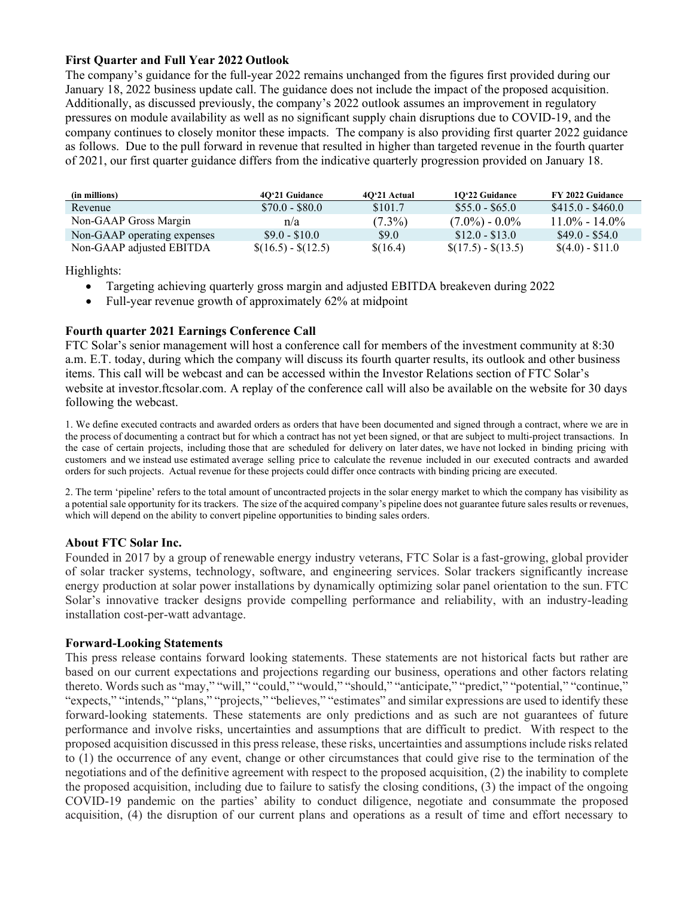# **First Quarter and Full Year 2022 Outlook**

The company's guidance for the full-year 2022 remains unchanged from the figures first provided during our January 18, 2022 business update call. The guidance does not include the impact of the proposed acquisition. Additionally, as discussed previously, the company's 2022 outlook assumes an improvement in regulatory pressures on module availability as well as no significant supply chain disruptions due to COVID-19, and the company continues to closely monitor these impacts. The company is also providing first quarter 2022 guidance as follows. Due to the pull forward in revenue that resulted in higher than targeted revenue in the fourth quarter of 2021, our first quarter guidance differs from the indicative quarterly progression provided on January 18.

| (in millions)               | 4O'21 Guidance            | 40'21 Actual | 10'22 Guidance            | <b>FY 2022 Guidance</b> |
|-----------------------------|---------------------------|--------------|---------------------------|-------------------------|
| Revenue                     | $$70.0 - $80.0$           | \$101.7      | $$55.0 - $65.0$           | $$415.0 - $460.0$       |
| Non-GAAP Gross Margin       | n/a                       | $(7.3\%)$    | $(7.0\%) - 0.0\%$         | $11.0\% - 14.0\%$       |
| Non-GAAP operating expenses | $$9.0 - $10.0$            | \$9.0        | $$12.0 - $13.0$           | $$49.0 - $54.0$         |
| Non-GAAP adjusted EBITDA    | $\{(16.5) - \{(12.5)\}\}$ | \$(16.4)     | $\{(17.5) - \{(13.5)\}\}$ | $\{(4.0) - \$11.0\}$    |

Highlights:

- Targeting achieving quarterly gross margin and adjusted EBITDA breakeven during 2022
- Full-year revenue growth of approximately 62% at midpoint

# **Fourth quarter 2021 Earnings Conference Call**

FTC Solar's senior management will host a conference call for members of the investment community at 8:30 a.m. E.T. today, during which the company will discuss its fourth quarter results, its outlook and other business items. This call will be webcast and can be accessed within the Investor Relations section of FTC Solar's website at investor.ftcsolar.com. A replay of the conference call will also be available on the website for 30 days following the webcast.

1. We define executed contracts and awarded orders as orders that have been documented and signed through a contract, where we are in the process of documenting a contract but for which a contract has not yet been signed, or that are subject to multi-project transactions. In the case of certain projects, including those that are scheduled for delivery on later dates, we have not locked in binding pricing with customers and we instead use estimated average selling price to calculate the revenue included in our executed contracts and awarded orders for such projects. Actual revenue for these projects could differ once contracts with binding pricing are executed.

2. The term 'pipeline' refers to the total amount of uncontracted projects in the solar energy market to which the company has visibility as a potential sale opportunity for its trackers. The size of the acquired company's pipeline does not guarantee future sales results or revenues, which will depend on the ability to convert pipeline opportunities to binding sales orders.

# **About FTC Solar Inc.**

Founded in 2017 by a group of renewable energy industry veterans, FTC Solar is a fast-growing, global provider of solar tracker systems, technology, software, and engineering services. Solar trackers significantly increase energy production at solar power installations by dynamically optimizing solar panel orientation to the sun. FTC Solar's innovative tracker designs provide compelling performance and reliability, with an industry-leading installation cost-per-watt advantage.

# **Forward-Looking Statements**

This press release contains forward looking statements. These statements are not historical facts but rather are based on our current expectations and projections regarding our business, operations and other factors relating thereto. Words such as "may," "will," "could," "would," "should," "anticipate," "predict," "potential," "continue," "expects," "intends," "plans," "projects," "believes," "estimates" and similar expressions are used to identify these forward-looking statements. These statements are only predictions and as such are not guarantees of future performance and involve risks, uncertainties and assumptions that are difficult to predict. With respect to the proposed acquisition discussed in this press release, these risks, uncertainties and assumptions include risks related to (1) the occurrence of any event, change or other circumstances that could give rise to the termination of the negotiations and of the definitive agreement with respect to the proposed acquisition, (2) the inability to complete the proposed acquisition, including due to failure to satisfy the closing conditions, (3) the impact of the ongoing COVID-19 pandemic on the parties' ability to conduct diligence, negotiate and consummate the proposed acquisition, (4) the disruption of our current plans and operations as a result of time and effort necessary to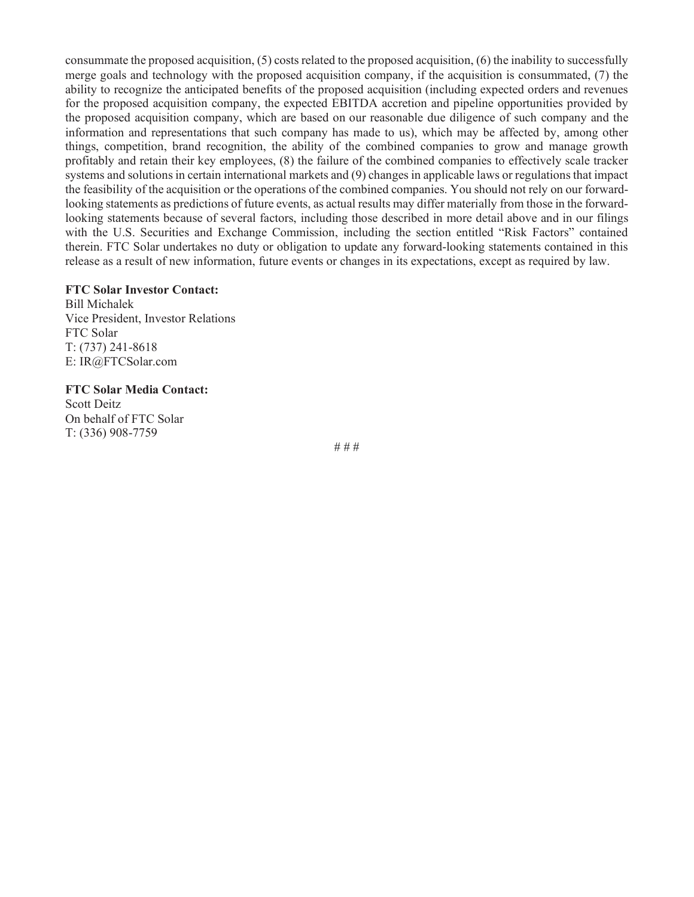consummate the proposed acquisition, (5) costs related to the proposed acquisition, (6) the inability to successfully merge goals and technology with the proposed acquisition company, if the acquisition is consummated, (7) the ability to recognize the anticipated benefits of the proposed acquisition (including expected orders and revenues for the proposed acquisition company, the expected EBITDA accretion and pipeline opportunities provided by the proposed acquisition company, which are based on our reasonable due diligence of such company and the information and representations that such company has made to us), which may be affected by, among other things, competition, brand recognition, the ability of the combined companies to grow and manage growth profitably and retain their key employees, (8) the failure of the combined companies to effectively scale tracker systems and solutions in certain international markets and (9) changes in applicable laws or regulations that impact the feasibility of the acquisition or the operations of the combined companies. You should not rely on our forwardlooking statements as predictions of future events, as actual results may differ materially from those in the forwardlooking statements because of several factors, including those described in more detail above and in our filings with the U.S. Securities and Exchange Commission, including the section entitled "Risk Factors" contained therein. FTC Solar undertakes no duty or obligation to update any forward-looking statements contained in this release as a result of new information, future events or changes in its expectations, except as required by law.

#### **FTC Solar Investor Contact:**

Bill Michalek Vice President, Investor Relations FTC Solar T: (737) 241-8618 E: IR@FTCSolar.com

**FTC Solar Media Contact:** Scott Deitz On behalf of FTC Solar T: (336) 908-7759

# # #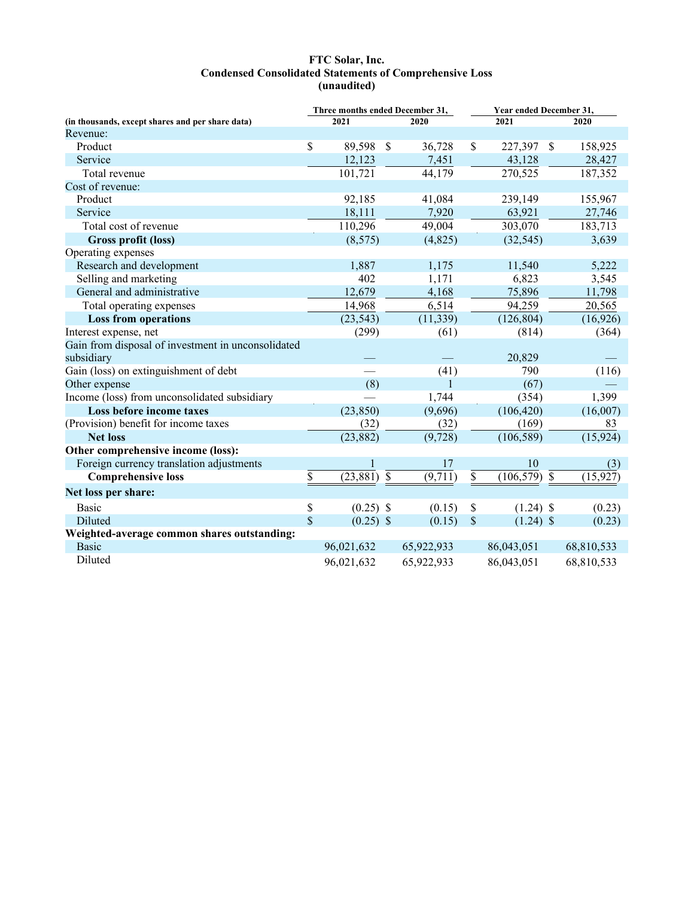#### **FTC Solar, Inc. Condensed Consolidated Statements of Comprehensive Loss (unaudited)**

|                                                    | Three months ended December 31, |             |               |            | Year ended December 31, |                          |            |
|----------------------------------------------------|---------------------------------|-------------|---------------|------------|-------------------------|--------------------------|------------|
| (in thousands, except shares and per share data)   |                                 | 2021        |               | 2020       |                         | 2021                     | 2020       |
| Revenue:                                           |                                 |             |               |            |                         |                          |            |
| Product                                            | \$                              | 89,598      | $\mathcal{S}$ | 36,728     | \$                      | $\mathcal{S}$<br>227,397 | 158,925    |
| Service                                            |                                 | 12,123      |               | 7,451      |                         | 43,128                   | 28,427     |
| Total revenue                                      |                                 | 101,721     |               | 44,179     |                         | 270,525                  | 187,352    |
| Cost of revenue:                                   |                                 |             |               |            |                         |                          |            |
| Product                                            |                                 | 92,185      |               | 41,084     |                         | 239,149                  | 155,967    |
| Service                                            |                                 | 18,111      |               | 7,920      |                         | 63,921                   | 27,746     |
| Total cost of revenue                              |                                 | 110,296     |               | 49,004     |                         | 303,070                  | 183,713    |
| Gross profit (loss)                                |                                 | (8,575)     |               | (4,825)    |                         | (32, 545)                | 3,639      |
| Operating expenses                                 |                                 |             |               |            |                         |                          |            |
| Research and development                           |                                 | 1,887       |               | 1,175      |                         | 11,540                   | 5,222      |
| Selling and marketing                              |                                 | 402         |               | 1,171      |                         | 6,823                    | 3,545      |
| General and administrative                         |                                 | 12,679      |               | 4,168      |                         | 75,896                   | 11,798     |
| Total operating expenses                           |                                 | 14,968      |               | 6,514      |                         | 94,259                   | 20,565     |
| <b>Loss from operations</b>                        |                                 | (23, 543)   |               | (11, 339)  |                         | (126, 804)               | (16, 926)  |
| Interest expense, net                              |                                 | (299)       |               | (61)       |                         | (814)                    | (364)      |
| Gain from disposal of investment in unconsolidated |                                 |             |               |            |                         |                          |            |
| subsidiary                                         |                                 |             |               |            |                         | 20,829                   |            |
| Gain (loss) on extinguishment of debt              |                                 |             |               | (41)       |                         | 790                      | (116)      |
| Other expense                                      |                                 | (8)         |               | 1          |                         | (67)                     |            |
| Income (loss) from unconsolidated subsidiary       |                                 |             |               | 1,744      |                         | (354)                    | 1,399      |
| Loss before income taxes                           |                                 | (23, 850)   |               | (9,696)    |                         | (106, 420)               | (16,007)   |
| (Provision) benefit for income taxes               |                                 | (32)        |               | (32)       |                         | (169)                    | 83         |
| <b>Net loss</b>                                    |                                 | (23, 882)   |               | (9, 728)   |                         | (106, 589)               | (15, 924)  |
| Other comprehensive income (loss):                 |                                 |             |               |            |                         |                          |            |
| Foreign currency translation adjustments           |                                 | 1           |               | 17         |                         | 10                       | (3)        |
| <b>Comprehensive loss</b>                          | \$                              | (23, 881)   | $\mathcal{S}$ | (9,711)    | $\overline{\$}$         | $(106, 579)$ \$          | (15, 927)  |
| Net loss per share:                                |                                 |             |               |            |                         |                          |            |
| <b>Basic</b>                                       | \$                              | $(0.25)$ \$ |               | (0.15)     | \$                      | $(1.24)$ \$              | (0.23)     |
| Diluted                                            | \$                              | $(0.25)$ \$ |               | (0.15)     | \$                      | $(1.24)$ \$              | (0.23)     |
| Weighted-average common shares outstanding:        |                                 |             |               |            |                         |                          |            |
| <b>Basic</b>                                       |                                 | 96,021,632  |               | 65,922,933 |                         | 86,043,051               | 68,810,533 |
| Diluted                                            |                                 | 96,021,632  |               | 65,922,933 |                         | 86,043,051               | 68,810,533 |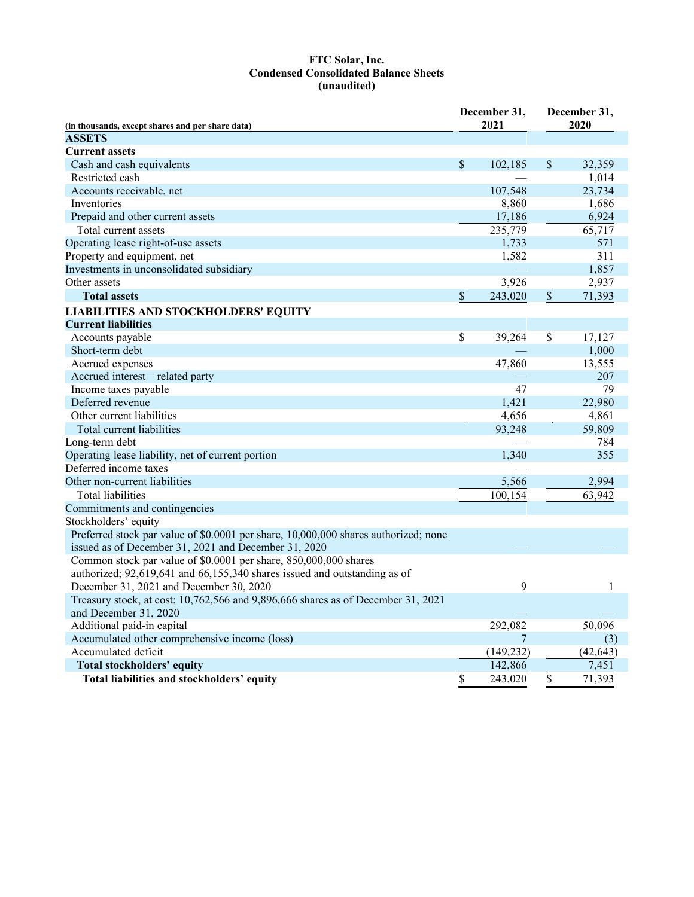#### **FTC Solar, Inc. Condensed Consolidated Balance Sheets (unaudited)**

|                                                                                     | December 31,<br>2021 | December 31,<br>2020 |           |  |
|-------------------------------------------------------------------------------------|----------------------|----------------------|-----------|--|
| (in thousands, except shares and per share data)<br><b>ASSETS</b>                   |                      |                      |           |  |
| <b>Current assets</b>                                                               |                      |                      |           |  |
| Cash and cash equivalents                                                           | \$<br>102,185        | $\mathbb{S}$         | 32,359    |  |
| Restricted cash                                                                     |                      |                      | 1,014     |  |
| Accounts receivable, net                                                            | 107,548              |                      | 23,734    |  |
| Inventories                                                                         | 8,860                |                      | 1,686     |  |
| Prepaid and other current assets                                                    | 17,186               |                      | 6,924     |  |
| Total current assets                                                                | 235,779              |                      | 65,717    |  |
| Operating lease right-of-use assets                                                 | 1,733                |                      | 571       |  |
| Property and equipment, net                                                         | 1,582                |                      | 311       |  |
| Investments in unconsolidated subsidiary                                            |                      |                      | 1,857     |  |
| Other assets                                                                        | 3,926                |                      | 2,937     |  |
| <b>Total assets</b>                                                                 | \$<br>243,020        | $\mathbb{S}$         | 71,393    |  |
| <b>LIABILITIES AND STOCKHOLDERS' EQUITY</b>                                         |                      |                      |           |  |
| <b>Current liabilities</b>                                                          |                      |                      |           |  |
| Accounts payable                                                                    | \$<br>39,264         | \$                   | 17,127    |  |
| Short-term debt                                                                     |                      |                      | 1,000     |  |
| Accrued expenses                                                                    | 47,860               |                      | 13,555    |  |
| Accrued interest - related party                                                    |                      |                      | 207       |  |
| Income taxes payable                                                                | 47                   |                      | 79        |  |
| Deferred revenue                                                                    | 1,421                |                      | 22,980    |  |
| Other current liabilities                                                           | 4,656                |                      | 4,861     |  |
| Total current liabilities                                                           | 93,248               |                      | 59,809    |  |
| Long-term debt                                                                      |                      |                      | 784       |  |
| Operating lease liability, net of current portion                                   | 1,340                |                      | 355       |  |
| Deferred income taxes                                                               |                      |                      |           |  |
| Other non-current liabilities                                                       | 5,566                |                      | 2,994     |  |
| Total liabilities                                                                   | 100,154              |                      | 63,942    |  |
| Commitments and contingencies                                                       |                      |                      |           |  |
| Stockholders' equity                                                                |                      |                      |           |  |
| Preferred stock par value of \$0.0001 per share, 10,000,000 shares authorized; none |                      |                      |           |  |
| issued as of December 31, 2021 and December 31, 2020                                |                      |                      |           |  |
| Common stock par value of \$0.0001 per share, 850,000,000 shares                    |                      |                      |           |  |
| authorized; 92,619,641 and 66,155,340 shares issued and outstanding as of           |                      |                      |           |  |
| December 31, 2021 and December 30, 2020                                             | 9                    |                      | 1         |  |
| Treasury stock, at cost; 10,762,566 and 9,896,666 shares as of December 31, 2021    |                      |                      |           |  |
| and December 31, 2020                                                               |                      |                      |           |  |
| Additional paid-in capital                                                          | 292,082              |                      | 50,096    |  |
| Accumulated other comprehensive income (loss)                                       | 7                    |                      | (3)       |  |
| Accumulated deficit                                                                 | (149, 232)           |                      | (42, 643) |  |
| <b>Total stockholders' equity</b>                                                   | 142,866              |                      | 7,451     |  |
| Total liabilities and stockholders' equity                                          | \$<br>243,020        | \$                   | 71,393    |  |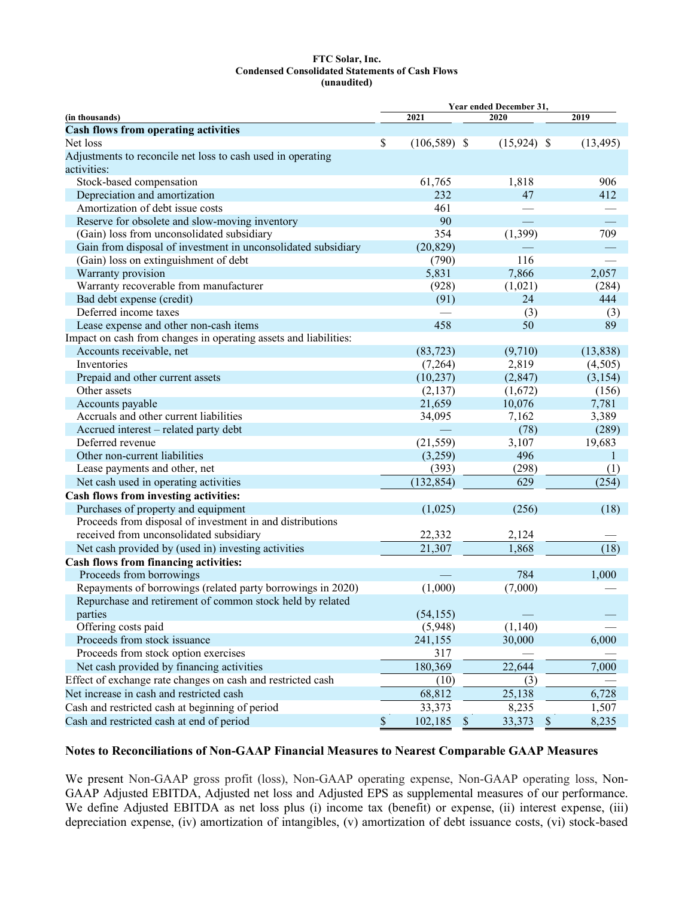#### **FTC Solar, Inc. Condensed Consolidated Statements of Cash Flows (unaudited)**

|                                                                  |                               | Year ended December 31, |           |  |
|------------------------------------------------------------------|-------------------------------|-------------------------|-----------|--|
| (in thousands)                                                   | 2021                          | 2020                    | 2019      |  |
| <b>Cash flows from operating activities</b>                      |                               |                         |           |  |
| Net loss                                                         | \$<br>$(106, 589)$ \$         | $(15,924)$ \$           | (13, 495) |  |
| Adjustments to reconcile net loss to cash used in operating      |                               |                         |           |  |
| activities:                                                      |                               |                         |           |  |
| Stock-based compensation                                         | 61,765                        | 1,818                   | 906       |  |
| Depreciation and amortization                                    | 232                           | 47                      | 412       |  |
| Amortization of debt issue costs                                 | 461                           |                         |           |  |
| Reserve for obsolete and slow-moving inventory                   | 90                            |                         |           |  |
| (Gain) loss from unconsolidated subsidiary                       | 354                           | (1, 399)                | 709       |  |
| Gain from disposal of investment in unconsolidated subsidiary    | (20, 829)                     |                         |           |  |
| (Gain) loss on extinguishment of debt                            | (790)                         | 116                     |           |  |
| Warranty provision                                               | 5,831                         | 7,866                   | 2,057     |  |
| Warranty recoverable from manufacturer                           | (928)                         | (1,021)                 | (284)     |  |
| Bad debt expense (credit)                                        | (91)                          | 24                      | 444       |  |
| Deferred income taxes                                            |                               | (3)                     | (3)       |  |
| Lease expense and other non-cash items                           | 458                           | 50                      | 89        |  |
| Impact on cash from changes in operating assets and liabilities: |                               |                         |           |  |
| Accounts receivable, net                                         | (83, 723)                     | (9,710)                 | (13, 838) |  |
| Inventories                                                      | (7,264)                       | 2,819                   | (4,505)   |  |
| Prepaid and other current assets                                 | (10, 237)                     | (2, 847)                | (3, 154)  |  |
| Other assets                                                     | (2,137)                       | (1,672)                 | (156)     |  |
| Accounts payable                                                 | 21,659                        | 10,076                  | 7,781     |  |
| Accruals and other current liabilities                           | 34,095                        | 7,162                   | 3,389     |  |
| Accrued interest - related party debt                            |                               | (78)                    | (289)     |  |
| Deferred revenue                                                 | (21, 559)                     | 3,107                   | 19,683    |  |
| Other non-current liabilities                                    | (3,259)                       | 496                     | 1         |  |
| Lease payments and other, net                                    | (393)                         | (298)                   | (1)       |  |
| Net cash used in operating activities                            | (132, 854)                    | 629                     | (254)     |  |
| Cash flows from investing activities:                            |                               |                         |           |  |
| Purchases of property and equipment                              | (1,025)                       | (256)                   | (18)      |  |
| Proceeds from disposal of investment in and distributions        |                               |                         |           |  |
| received from unconsolidated subsidiary                          | 22,332                        | 2,124                   |           |  |
| Net cash provided by (used in) investing activities              | 21,307                        | 1,868                   | (18)      |  |
| Cash flows from financing activities:                            |                               |                         |           |  |
| Proceeds from borrowings                                         |                               | 784                     | 1,000     |  |
| Repayments of borrowings (related party borrowings in 2020)      | (1,000)                       | (7,000)                 |           |  |
| Repurchase and retirement of common stock held by related        |                               |                         |           |  |
| parties                                                          | (54, 155)                     |                         |           |  |
| Offering costs paid                                              | (5,948)                       | (1, 140)                |           |  |
| Proceeds from stock issuance                                     | 241,155                       | 30,000                  | 6,000     |  |
| Proceeds from stock option exercises                             | 317                           |                         |           |  |
| Net cash provided by financing activities                        | 180,369                       | 22,644                  | 7,000     |  |
| Effect of exchange rate changes on cash and restricted cash      | (10)                          | (3)                     |           |  |
| Net increase in cash and restricted cash                         | 68,812                        | 25,138                  | 6,728     |  |
| Cash and restricted cash at beginning of period                  | 33,373                        | 8,235                   | 1,507     |  |
| Cash and restricted cash at end of period                        | \$<br>$\mathbb{S}$<br>102,185 | 33,373<br>$\mathbb{S}$  | 8,235     |  |

# **Notes to Reconciliations of Non-GAAP Financial Measures to Nearest Comparable GAAP Measures**

We present Non-GAAP gross profit (loss), Non-GAAP operating expense, Non-GAAP operating loss, Non-GAAP Adjusted EBITDA, Adjusted net loss and Adjusted EPS as supplemental measures of our performance. We define Adjusted EBITDA as net loss plus (i) income tax (benefit) or expense, (ii) interest expense, (iii) depreciation expense, (iv) amortization of intangibles, (v) amortization of debt issuance costs, (vi) stock-based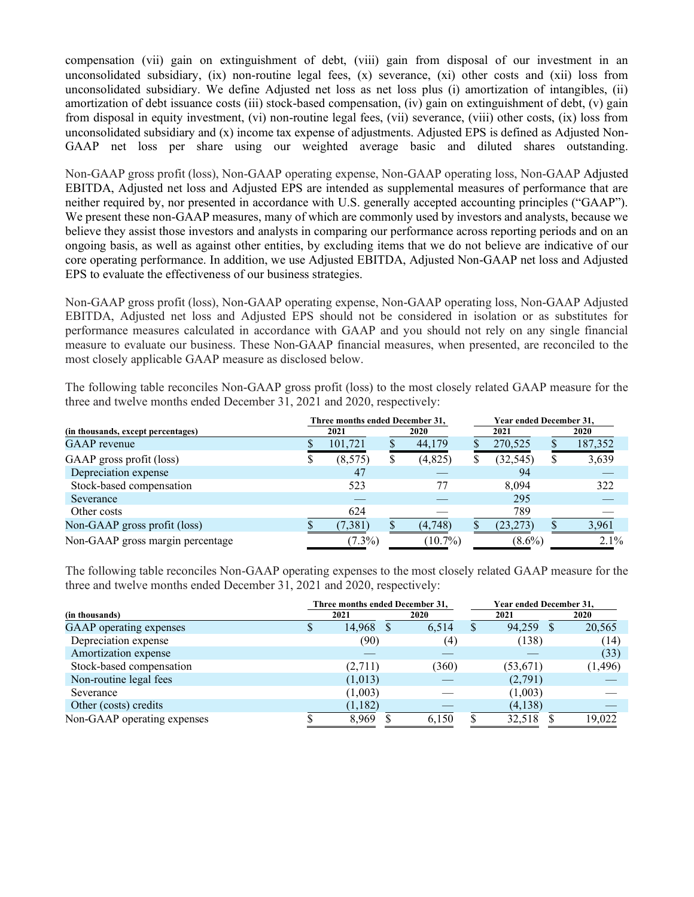compensation (vii) gain on extinguishment of debt, (viii) gain from disposal of our investment in an unconsolidated subsidiary,  $(ix)$  non-routine legal fees,  $(x)$  severance,  $(xi)$  other costs and  $(xii)$  loss from unconsolidated subsidiary. We define Adjusted net loss as net loss plus (i) amortization of intangibles, (ii) amortization of debt issuance costs (iii) stock-based compensation, (iv) gain on extinguishment of debt, (v) gain from disposal in equity investment, (vi) non-routine legal fees, (vii) severance, (viii) other costs, (ix) loss from unconsolidated subsidiary and (x) income tax expense of adjustments. Adjusted EPS is defined as Adjusted Non-GAAP net loss per share using our weighted average basic and diluted shares outstanding.

Non-GAAP gross profit (loss), Non-GAAP operating expense, Non-GAAP operating loss, Non-GAAP Adjusted EBITDA, Adjusted net loss and Adjusted EPS are intended as supplemental measures of performance that are neither required by, nor presented in accordance with U.S. generally accepted accounting principles ("GAAP"). We present these non-GAAP measures, many of which are commonly used by investors and analysts, because we believe they assist those investors and analysts in comparing our performance across reporting periods and on an ongoing basis, as well as against other entities, by excluding items that we do not believe are indicative of our core operating performance. In addition, we use Adjusted EBITDA, Adjusted Non-GAAP net loss and Adjusted EPS to evaluate the effectiveness of our business strategies.

Non-GAAP gross profit (loss), Non-GAAP operating expense, Non-GAAP operating loss, Non-GAAP Adjusted EBITDA, Adjusted net loss and Adjusted EPS should not be considered in isolation or as substitutes for performance measures calculated in accordance with GAAP and you should not rely on any single financial measure to evaluate our business. These Non-GAAP financial measures, when presented, are reconciled to the most closely applicable GAAP measure as disclosed below.

The following table reconciles Non-GAAP gross profit (loss) to the most closely related GAAP measure for the three and twelve months ended December 31, 2021 and 2020, respectively:

|                                    | Three months ended December 31, |           |      |            |      | Year ended December 31, |  |             |
|------------------------------------|---------------------------------|-----------|------|------------|------|-------------------------|--|-------------|
| (in thousands, except percentages) |                                 | 2021      | 2020 |            | 2021 |                         |  | <b>2020</b> |
| <b>GAAP</b> revenue                |                                 | 101,721   |      | 44,179     |      | 270,525                 |  | 187,352     |
| GAAP gross profit (loss)           | Φ                               | (8, 575)  |      | (4,825)    | Φ    | (32, 545)               |  | 3,639       |
| Depreciation expense               |                                 | 47        |      |            |      | 94                      |  |             |
| Stock-based compensation           |                                 | 523       |      | 77         |      | 8.094                   |  | 322         |
| Severance                          |                                 |           |      |            |      | 295                     |  |             |
| Other costs                        |                                 | 624       |      |            |      | 789                     |  |             |
| Non-GAAP gross profit (loss)       |                                 | (7,381)   |      | (4,748)    |      | (23, 273)               |  | 3,961       |
| Non-GAAP gross margin percentage   |                                 | $(7.3\%)$ |      | $(10.7\%)$ |      | $(8.6\%)$               |  | $2.1\%$     |

The following table reconciles Non-GAAP operating expenses to the most closely related GAAP measure for the three and twelve months ended December 31, 2021 and 2020, respectively:

|                             |    |           | Three months ended December 31, | Year ended December 31, |           |      |          |
|-----------------------------|----|-----------|---------------------------------|-------------------------|-----------|------|----------|
| (in thousands)              |    | 2021      | 2020                            |                         | 2021      | 2020 |          |
| GAAP operating expenses     | ۰D | 14,968 \$ | 6,514                           | S                       | 94,259    | - 85 | 20,565   |
| Depreciation expense        |    | (90)      | (4)                             |                         | (138)     |      | (14)     |
| Amortization expense        |    |           |                                 |                         |           |      | (33)     |
| Stock-based compensation    |    | (2,711)   | (360)                           |                         | (53, 671) |      | (1, 496) |
| Non-routine legal fees      |    | (1,013)   |                                 |                         | (2,791)   |      |          |
| Severance                   |    | (1,003)   |                                 |                         | (1,003)   |      |          |
| Other (costs) credits       |    | (1,182)   |                                 |                         | (4,138)   |      |          |
| Non-GAAP operating expenses |    | 8,969     | 6,150                           |                         | 32,518    |      | 19.022   |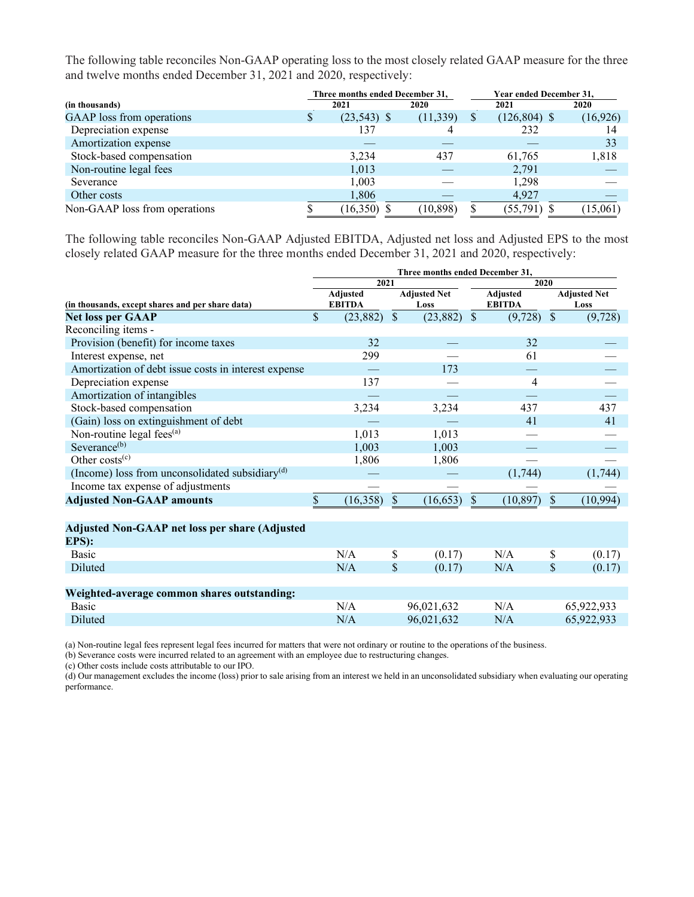The following table reconciles Non-GAAP operating loss to the most closely related GAAP measure for the three and twelve months ended December 31, 2021 and 2020, respectively:

|                               |   | Three months ended December 31, |           |          | Year ended December 31, |             |
|-------------------------------|---|---------------------------------|-----------|----------|-------------------------|-------------|
| (in thousands)                |   | 2021                            | 2020      |          | 2021                    | <b>2020</b> |
| GAAP loss from operations     | P | $(23,543)$ \$                   | (11, 339) | <b>S</b> | $(126, 804)$ \$         | (16,926)    |
| Depreciation expense          |   | 137                             |           |          | 232                     | 14          |
| Amortization expense          |   |                                 |           |          |                         | 33          |
| Stock-based compensation      |   | 3.234                           | 437       |          | 61,765                  | 1,818       |
| Non-routine legal fees        |   | 1,013                           |           |          | 2,791                   |             |
| Severance                     |   | 1,003                           |           |          | 1,298                   |             |
| Other costs                   |   | 1,806                           |           |          | 4,927                   |             |
| Non-GAAP loss from operations |   | (16,350)                        | (10, 898) |          | (55,791) \$             | (15,061)    |

The following table reconciles Non-GAAP Adjusted EBITDA, Adjusted net loss and Adjusted EPS to the most closely related GAAP measure for the three months ended December 31, 2021 and 2020, respectively:

| Three months ended December 31, |                                  |                           |            |                     |                                  |               |                             |
|---------------------------------|----------------------------------|---------------------------|------------|---------------------|----------------------------------|---------------|-----------------------------|
|                                 |                                  |                           |            | 2020                |                                  |               |                             |
|                                 | <b>Adjusted</b><br><b>EBITDA</b> |                           | Loss       |                     | <b>Adjusted</b><br><b>EBITDA</b> |               | <b>Adjusted Net</b><br>Loss |
| \$                              | (23, 882)                        | $\boldsymbol{\mathsf{S}}$ | (23, 882)  | $\mathcal{S}$       | (9, 728)                         | $\mathcal{S}$ | (9, 728)                    |
|                                 |                                  |                           |            |                     |                                  |               |                             |
|                                 | 32                               |                           |            |                     | 32                               |               |                             |
|                                 | 299                              |                           |            |                     | 61                               |               |                             |
|                                 |                                  |                           | 173        |                     |                                  |               |                             |
|                                 | 137                              |                           |            |                     | 4                                |               |                             |
|                                 |                                  |                           |            |                     |                                  |               |                             |
|                                 | 3,234                            |                           | 3,234      |                     | 437                              |               | 437                         |
|                                 |                                  |                           |            |                     | 41                               |               | 41                          |
|                                 | 1,013                            |                           | 1,013      |                     |                                  |               |                             |
|                                 | 1,003                            |                           | 1,003      |                     |                                  |               |                             |
|                                 | 1,806                            |                           | 1,806      |                     |                                  |               |                             |
|                                 |                                  |                           |            |                     | (1,744)                          |               | (1,744)                     |
|                                 |                                  |                           |            |                     |                                  |               |                             |
| \$                              | (16,358)                         | $\mathcal{S}$             | (16, 653)  | $\mathbb{S}$        | (10, 897)                        | $\mathbb{S}$  | (10, 994)                   |
|                                 |                                  |                           |            |                     |                                  |               |                             |
|                                 |                                  |                           |            |                     |                                  |               |                             |
|                                 |                                  |                           |            |                     |                                  |               |                             |
|                                 | N/A                              | \$                        | (0.17)     |                     | N/A                              | \$            | (0.17)                      |
|                                 | N/A                              | \$                        | (0.17)     |                     | N/A                              | \$            | (0.17)                      |
|                                 |                                  |                           |            |                     |                                  |               |                             |
|                                 |                                  |                           |            |                     |                                  |               |                             |
|                                 | N/A                              |                           | 96,021,632 |                     | N/A                              |               | 65,922,933                  |
|                                 | N/A                              |                           | 96,021,632 |                     | N/A                              |               | 65,922,933                  |
|                                 |                                  |                           | 2021       | <b>Adjusted Net</b> |                                  |               |                             |

(a) Non-routine legal fees represent legal fees incurred for matters that were not ordinary or routine to the operations of the business.

(b) Severance costs were incurred related to an agreement with an employee due to restructuring changes.

(c) Other costs include costs attributable to our IPO.

(d) Our management excludes the income (loss) prior to sale arising from an interest we held in an unconsolidated subsidiary when evaluating our operating performance.